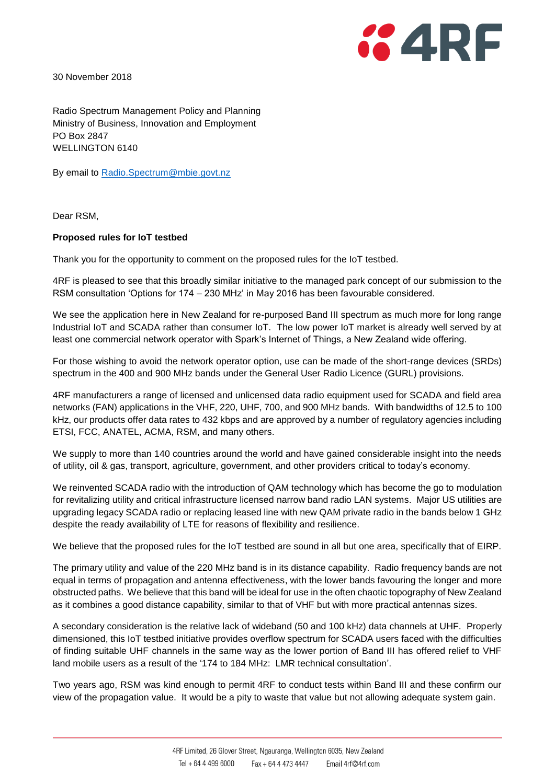

30 November 2018

Radio Spectrum Management Policy and Planning Ministry of Business, Innovation and Employment PO Box 2847 WELLINGTON 6140

By email to [Radio.Spectrum@mbie.govt.nz](mailto:Radio.Spectrum@mbie.govt.nz)

Dear RSM,

## **Proposed rules for IoT testbed**

Thank you for the opportunity to comment on the proposed rules for the IoT testbed.

4RF is pleased to see that this broadly similar initiative to the managed park concept of our submission to the RSM consultation 'Options for 174 – 230 MHz' in May 2016 has been favourable considered.

We see the application here in New Zealand for re-purposed Band III spectrum as much more for long range Industrial IoT and SCADA rather than consumer IoT. The low power IoT market is already well served by at least one commercial network operator with Spark's Internet of Things, a New Zealand wide offering.

For those wishing to avoid the network operator option, use can be made of the short-range devices (SRDs) spectrum in the 400 and 900 MHz bands under the General User Radio Licence (GURL) provisions.

4RF manufacturers a range of licensed and unlicensed data radio equipment used for SCADA and field area networks (FAN) applications in the VHF, 220, UHF, 700, and 900 MHz bands. With bandwidths of 12.5 to 100 kHz, our products offer data rates to 432 kbps and are approved by a number of regulatory agencies including ETSI, FCC, ANATEL, ACMA, RSM, and many others.

We supply to more than 140 countries around the world and have gained considerable insight into the needs of utility, oil & gas, transport, agriculture, government, and other providers critical to today's economy.

We reinvented SCADA radio with the introduction of QAM technology which has become the go to modulation for revitalizing utility and critical infrastructure licensed narrow band radio LAN systems. Major US utilities are upgrading legacy SCADA radio or replacing leased line with new QAM private radio in the bands below 1 GHz despite the ready availability of LTE for reasons of flexibility and resilience.

We believe that the proposed rules for the IoT testbed are sound in all but one area, specifically that of EIRP.

The primary utility and value of the 220 MHz band is in its distance capability. Radio frequency bands are not equal in terms of propagation and antenna effectiveness, with the lower bands favouring the longer and more obstructed paths. We believe that this band will be ideal for use in the often chaotic topography of New Zealand as it combines a good distance capability, similar to that of VHF but with more practical antennas sizes.

A secondary consideration is the relative lack of wideband (50 and 100 kHz) data channels at UHF. Properly dimensioned, this IoT testbed initiative provides overflow spectrum for SCADA users faced with the difficulties of finding suitable UHF channels in the same way as the lower portion of Band III has offered relief to VHF land mobile users as a result of the '174 to 184 MHz: LMR technical consultation'.

Two years ago, RSM was kind enough to permit 4RF to conduct tests within Band III and these confirm our view of the propagation value. It would be a pity to waste that value but not allowing adequate system gain.